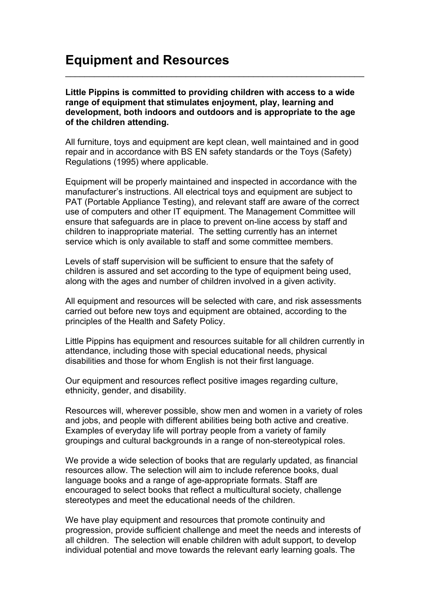## **Equipment and Resources**

**Little Pippins is committed to providing children with access to a wide range of equipment that stimulates enjoyment, play, learning and development, both indoors and outdoors and is appropriate to the age of the children attending.**

\_\_\_\_\_\_\_\_\_\_\_\_\_\_\_\_\_\_\_\_\_\_\_\_\_\_\_\_\_\_\_\_\_\_\_\_\_\_\_\_\_\_\_\_\_\_\_\_\_\_\_\_\_\_\_\_\_\_\_\_\_\_

All furniture, toys and equipment are kept clean, well maintained and in good repair and in accordance with BS EN safety standards or the Toys (Safety) Regulations (1995) where applicable.

Equipment will be properly maintained and inspected in accordance with the manufacturer's instructions. All electrical toys and equipment are subject to PAT (Portable Appliance Testing), and relevant staff are aware of the correct use of computers and other IT equipment. The Management Committee will ensure that safeguards are in place to prevent on-line access by staff and children to inappropriate material. The setting currently has an internet service which is only available to staff and some committee members.

Levels of staff supervision will be sufficient to ensure that the safety of children is assured and set according to the type of equipment being used, along with the ages and number of children involved in a given activity.

All equipment and resources will be selected with care, and risk assessments carried out before new toys and equipment are obtained, according to the principles of the Health and Safety Policy.

Little Pippins has equipment and resources suitable for all children currently in attendance, including those with special educational needs, physical disabilities and those for whom English is not their first language.

Our equipment and resources reflect positive images regarding culture, ethnicity, gender, and disability.

Resources will, wherever possible, show men and women in a variety of roles and jobs, and people with different abilities being both active and creative. Examples of everyday life will portray people from a variety of family groupings and cultural backgrounds in a range of non-stereotypical roles.

We provide a wide selection of books that are regularly updated, as financial resources allow. The selection will aim to include reference books, dual language books and a range of age-appropriate formats. Staff are encouraged to select books that reflect a multicultural society, challenge stereotypes and meet the educational needs of the children.

We have play equipment and resources that promote continuity and progression, provide sufficient challenge and meet the needs and interests of all children. The selection will enable children with adult support, to develop individual potential and move towards the relevant early learning goals. The